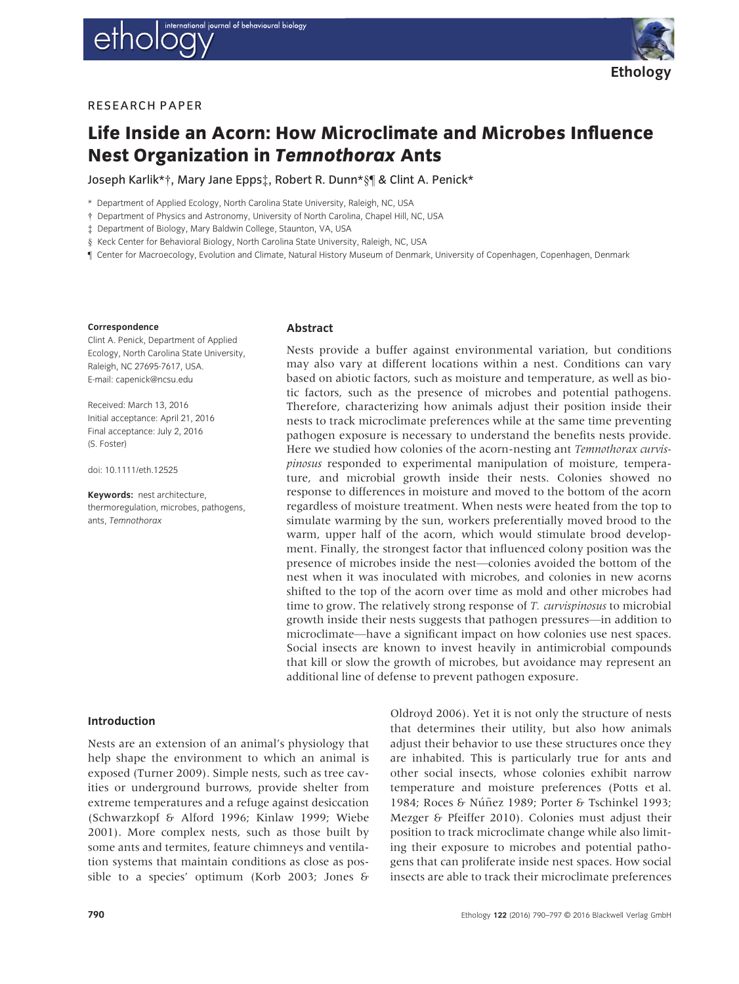



## **RESEARCH PAPER**

# Life Inside an Acorn: How Microclimate and Microbes Influence Nest Organization in Temnothorax Ants

Joseph Karlik\*†, Mary Jane Epps‡, Robert R. Dunn\*§¶ & Clint A. Penick\*

\* Department of Applied Ecology, North Carolina State University, Raleigh, NC, USA

- † Department of Physics and Astronomy, University of North Carolina, Chapel Hill, NC, USA
- ‡ Department of Biology, Mary Baldwin College, Staunton, VA, USA
- § Keck Center for Behavioral Biology, North Carolina State University, Raleigh, NC, USA
- ¶ Center for Macroecology, Evolution and Climate, Natural History Museum of Denmark, University of Copenhagen, Copenhagen, Denmark

#### Correspondence

Clint A. Penick, Department of Applied Ecology, North Carolina State University, Raleigh, NC 27695-7617, USA. E-mail: capenick@ncsu.edu

Received: March 13, 2016 Initial acceptance: April 21, 2016 Final acceptance: July 2, 2016 (S. Foster)

doi: 10.1111/eth.12525

Keywords: nest architecture, thermoregulation, microbes, pathogens, ants, Temnothorax

#### Abstract

Nests provide a buffer against environmental variation, but conditions may also vary at different locations within a nest. Conditions can vary based on abiotic factors, such as moisture and temperature, as well as biotic factors, such as the presence of microbes and potential pathogens. Therefore, characterizing how animals adjust their position inside their nests to track microclimate preferences while at the same time preventing pathogen exposure is necessary to understand the benefits nests provide. Here we studied how colonies of the acorn-nesting ant Temnothorax curvispinosus responded to experimental manipulation of moisture, temperature, and microbial growth inside their nests. Colonies showed no response to differences in moisture and moved to the bottom of the acorn regardless of moisture treatment. When nests were heated from the top to simulate warming by the sun, workers preferentially moved brood to the warm, upper half of the acorn, which would stimulate brood development. Finally, the strongest factor that influenced colony position was the presence of microbes inside the nest—colonies avoided the bottom of the nest when it was inoculated with microbes, and colonies in new acorns shifted to the top of the acorn over time as mold and other microbes had time to grow. The relatively strong response of T. *curvispinosus* to microbial growth inside their nests suggests that pathogen pressures—in addition to microclimate—have a significant impact on how colonies use nest spaces. Social insects are known to invest heavily in antimicrobial compounds that kill or slow the growth of microbes, but avoidance may represent an additional line of defense to prevent pathogen exposure.

## Introduction

Nests are an extension of an animal's physiology that help shape the environment to which an animal is exposed (Turner 2009). Simple nests, such as tree cavities or underground burrows, provide shelter from extreme temperatures and a refuge against desiccation (Schwarzkopf & Alford 1996; Kinlaw 1999; Wiebe 2001). More complex nests, such as those built by some ants and termites, feature chimneys and ventilation systems that maintain conditions as close as possible to a species' optimum (Korb 2003; Jones &

Oldroyd 2006). Yet it is not only the structure of nests that determines their utility, but also how animals adjust their behavior to use these structures once they are inhabited. This is particularly true for ants and other social insects, whose colonies exhibit narrow temperature and moisture preferences (Potts et al. 1984; Roces & Núñez 1989; Porter & Tschinkel 1993; Mezger & Pfeiffer 2010). Colonies must adjust their position to track microclimate change while also limiting their exposure to microbes and potential pathogens that can proliferate inside nest spaces. How social insects are able to track their microclimate preferences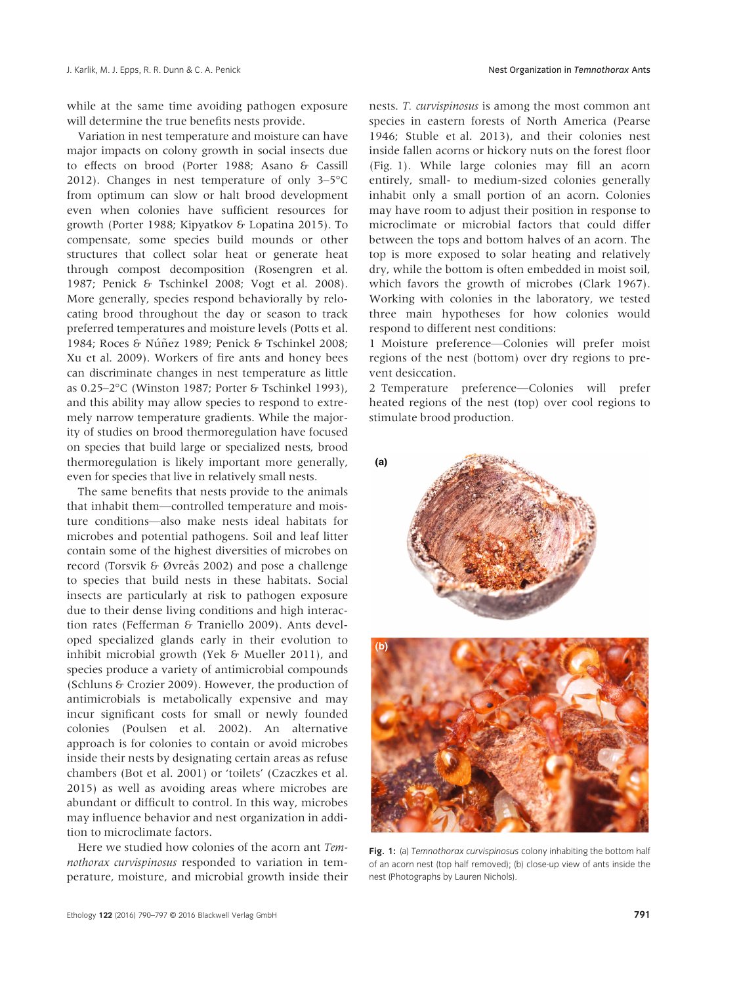while at the same time avoiding pathogen exposure will determine the true benefits nests provide.

Variation in nest temperature and moisture can have major impacts on colony growth in social insects due to effects on brood (Porter 1988; Asano & Cassill 2012). Changes in nest temperature of only 3–5°C from optimum can slow or halt brood development even when colonies have sufficient resources for growth (Porter 1988; Kipyatkov & Lopatina 2015). To compensate, some species build mounds or other structures that collect solar heat or generate heat through compost decomposition (Rosengren et al. 1987; Penick & Tschinkel 2008; Vogt et al. 2008). More generally, species respond behaviorally by relocating brood throughout the day or season to track preferred temperatures and moisture levels (Potts et al. 1984; Roces & Núñez 1989; Penick & Tschinkel 2008; Xu et al. 2009). Workers of fire ants and honey bees can discriminate changes in nest temperature as little as 0.25–2°C (Winston 1987; Porter & Tschinkel 1993), and this ability may allow species to respond to extremely narrow temperature gradients. While the majority of studies on brood thermoregulation have focused on species that build large or specialized nests, brood thermoregulation is likely important more generally, even for species that live in relatively small nests.

The same benefits that nests provide to the animals that inhabit them—controlled temperature and moisture conditions—also make nests ideal habitats for microbes and potential pathogens. Soil and leaf litter contain some of the highest diversities of microbes on record (Torsvik & Øvreås 2002) and pose a challenge to species that build nests in these habitats. Social insects are particularly at risk to pathogen exposure due to their dense living conditions and high interaction rates (Fefferman & Traniello 2009). Ants developed specialized glands early in their evolution to inhibit microbial growth (Yek & Mueller 2011), and species produce a variety of antimicrobial compounds (Schluns & Crozier 2009). However, the production of antimicrobials is metabolically expensive and may incur significant costs for small or newly founded colonies (Poulsen et al. 2002). An alternative approach is for colonies to contain or avoid microbes inside their nests by designating certain areas as refuse chambers (Bot et al. 2001) or 'toilets' (Czaczkes et al. 2015) as well as avoiding areas where microbes are abundant or difficult to control. In this way, microbes may influence behavior and nest organization in addition to microclimate factors.

Here we studied how colonies of the acorn ant Temnothorax curvispinosus responded to variation in temperature, moisture, and microbial growth inside their nests. T. curvispinosus is among the most common ant species in eastern forests of North America (Pearse 1946; Stuble et al. 2013), and their colonies nest inside fallen acorns or hickory nuts on the forest floor (Fig. 1). While large colonies may fill an acorn entirely, small- to medium-sized colonies generally inhabit only a small portion of an acorn. Colonies may have room to adjust their position in response to microclimate or microbial factors that could differ between the tops and bottom halves of an acorn. The top is more exposed to solar heating and relatively dry, while the bottom is often embedded in moist soil, which favors the growth of microbes (Clark 1967). Working with colonies in the laboratory, we tested three main hypotheses for how colonies would respond to different nest conditions:

1 Moisture preference—Colonies will prefer moist regions of the nest (bottom) over dry regions to prevent desiccation.

2 Temperature preference—Colonies will prefer heated regions of the nest (top) over cool regions to stimulate brood production.



Fig. 1: (a) Temnothorax curvispinosus colony inhabiting the bottom half of an acorn nest (top half removed); (b) close-up view of ants inside the nest (Photographs by Lauren Nichols).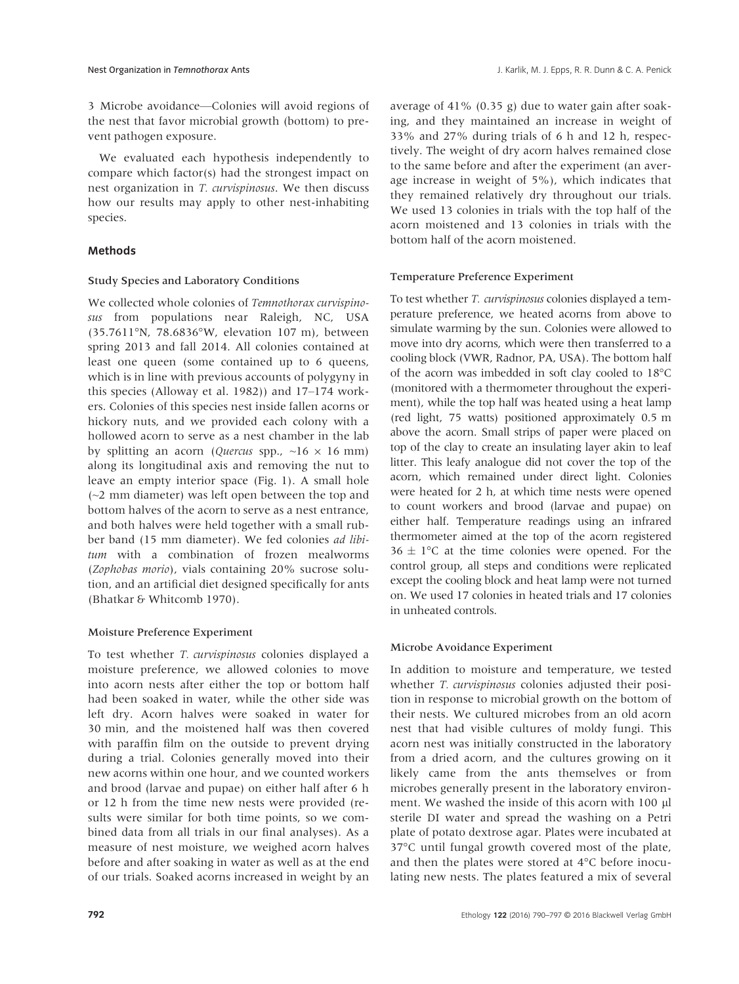3 Microbe avoidance—Colonies will avoid regions of the nest that favor microbial growth (bottom) to prevent pathogen exposure.

We evaluated each hypothesis independently to compare which factor(s) had the strongest impact on nest organization in T. curvispinosus. We then discuss how our results may apply to other nest-inhabiting species.

## Methods

#### Study Species and Laboratory Conditions

We collected whole colonies of Temnothorax curvispinosus from populations near Raleigh, NC, USA (35.7611°N, 78.6836°W, elevation 107 m), between spring 2013 and fall 2014. All colonies contained at least one queen (some contained up to 6 queens, which is in line with previous accounts of polygyny in this species (Alloway et al. 1982)) and 17–174 workers. Colonies of this species nest inside fallen acorns or hickory nuts, and we provided each colony with a hollowed acorn to serve as a nest chamber in the lab by splitting an acorn (*Quercus* spp.,  $\sim 16 \times 16$  mm) along its longitudinal axis and removing the nut to leave an empty interior space (Fig. 1). A small hole (~2 mm diameter) was left open between the top and bottom halves of the acorn to serve as a nest entrance, and both halves were held together with a small rubber band (15 mm diameter). We fed colonies ad libitum with a combination of frozen mealworms (Zophobas morio), vials containing 20% sucrose solution, and an artificial diet designed specifically for ants (Bhatkar & Whitcomb 1970).

## Moisture Preference Experiment

To test whether T. curvispinosus colonies displayed a moisture preference, we allowed colonies to move into acorn nests after either the top or bottom half had been soaked in water, while the other side was left dry. Acorn halves were soaked in water for 30 min, and the moistened half was then covered with paraffin film on the outside to prevent drying during a trial. Colonies generally moved into their new acorns within one hour, and we counted workers and brood (larvae and pupae) on either half after 6 h or 12 h from the time new nests were provided (results were similar for both time points, so we combined data from all trials in our final analyses). As a measure of nest moisture, we weighed acorn halves before and after soaking in water as well as at the end of our trials. Soaked acorns increased in weight by an

average of 41% (0.35 g) due to water gain after soaking, and they maintained an increase in weight of 33% and 27% during trials of 6 h and 12 h, respectively. The weight of dry acorn halves remained close to the same before and after the experiment (an average increase in weight of 5%), which indicates that they remained relatively dry throughout our trials. We used 13 colonies in trials with the top half of the acorn moistened and 13 colonies in trials with the bottom half of the acorn moistened.

#### Temperature Preference Experiment

To test whether T. curvispinosus colonies displayed a temperature preference, we heated acorns from above to simulate warming by the sun. Colonies were allowed to move into dry acorns, which were then transferred to a cooling block (VWR, Radnor, PA, USA). The bottom half of the acorn was imbedded in soft clay cooled to 18°C (monitored with a thermometer throughout the experiment), while the top half was heated using a heat lamp (red light, 75 watts) positioned approximately 0.5 m above the acorn. Small strips of paper were placed on top of the clay to create an insulating layer akin to leaf litter. This leafy analogue did not cover the top of the acorn, which remained under direct light. Colonies were heated for 2 h, at which time nests were opened to count workers and brood (larvae and pupae) on either half. Temperature readings using an infrared thermometer aimed at the top of the acorn registered  $36 \pm 1^{\circ}$ C at the time colonies were opened. For the control group, all steps and conditions were replicated except the cooling block and heat lamp were not turned on. We used 17 colonies in heated trials and 17 colonies in unheated controls.

#### Microbe Avoidance Experiment

In addition to moisture and temperature, we tested whether *T. curvispinosus* colonies adjusted their position in response to microbial growth on the bottom of their nests. We cultured microbes from an old acorn nest that had visible cultures of moldy fungi. This acorn nest was initially constructed in the laboratory from a dried acorn, and the cultures growing on it likely came from the ants themselves or from microbes generally present in the laboratory environment. We washed the inside of this acorn with 100 µl sterile DI water and spread the washing on a Petri plate of potato dextrose agar. Plates were incubated at 37°C until fungal growth covered most of the plate, and then the plates were stored at 4°C before inoculating new nests. The plates featured a mix of several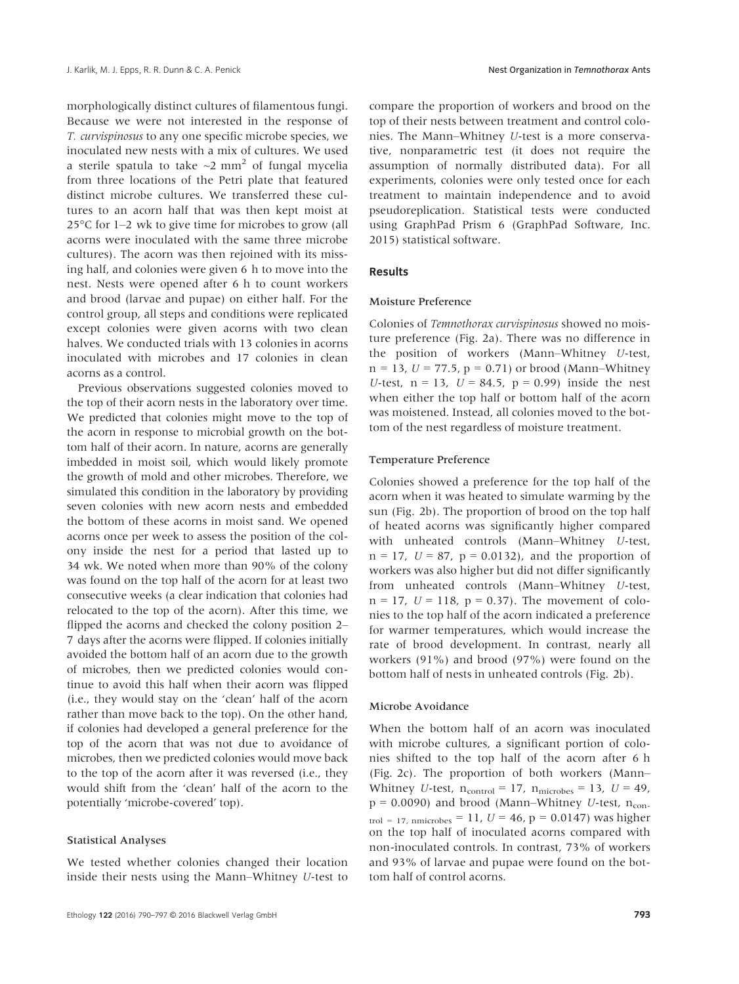morphologically distinct cultures of filamentous fungi. Because we were not interested in the response of T. curvispinosus to any one specific microbe species, we inoculated new nests with a mix of cultures. We used a sterile spatula to take  $\sim$ 2 mm<sup>2</sup> of fungal mycelia from three locations of the Petri plate that featured distinct microbe cultures. We transferred these cultures to an acorn half that was then kept moist at 25°C for 1–2 wk to give time for microbes to grow (all acorns were inoculated with the same three microbe cultures). The acorn was then rejoined with its missing half, and colonies were given 6 h to move into the nest. Nests were opened after 6 h to count workers and brood (larvae and pupae) on either half. For the control group, all steps and conditions were replicated except colonies were given acorns with two clean halves. We conducted trials with 13 colonies in acorns inoculated with microbes and 17 colonies in clean acorns as a control.

Previous observations suggested colonies moved to the top of their acorn nests in the laboratory over time. We predicted that colonies might move to the top of the acorn in response to microbial growth on the bottom half of their acorn. In nature, acorns are generally imbedded in moist soil, which would likely promote the growth of mold and other microbes. Therefore, we simulated this condition in the laboratory by providing seven colonies with new acorn nests and embedded the bottom of these acorns in moist sand. We opened acorns once per week to assess the position of the colony inside the nest for a period that lasted up to 34 wk. We noted when more than 90% of the colony was found on the top half of the acorn for at least two consecutive weeks (a clear indication that colonies had relocated to the top of the acorn). After this time, we flipped the acorns and checked the colony position 2– 7 days after the acorns were flipped. If colonies initially avoided the bottom half of an acorn due to the growth of microbes, then we predicted colonies would continue to avoid this half when their acorn was flipped (i.e., they would stay on the 'clean' half of the acorn rather than move back to the top). On the other hand, if colonies had developed a general preference for the top of the acorn that was not due to avoidance of microbes, then we predicted colonies would move back to the top of the acorn after it was reversed (i.e., they would shift from the 'clean' half of the acorn to the potentially 'microbe-covered' top).

#### Statistical Analyses

We tested whether colonies changed their location inside their nests using the Mann–Whitney U-test to compare the proportion of workers and brood on the top of their nests between treatment and control colonies. The Mann–Whitney U-test is a more conservative, nonparametric test (it does not require the assumption of normally distributed data). For all experiments, colonies were only tested once for each treatment to maintain independence and to avoid pseudoreplication. Statistical tests were conducted using GraphPad Prism 6 (GraphPad Software, Inc. 2015) statistical software.

#### Results

#### Moisture Preference

Colonies of Temnothorax curvispinosus showed no moisture preference (Fig. 2a). There was no difference in the position of workers (Mann–Whitney U-test,  $n = 13$ ,  $U = 77.5$ ,  $p = 0.71$ ) or brood (Mann–Whitney U-test,  $n = 13$ ,  $U = 84.5$ ,  $p = 0.99$ ) inside the nest when either the top half or bottom half of the acorn was moistened. Instead, all colonies moved to the bottom of the nest regardless of moisture treatment.

#### Temperature Preference

Colonies showed a preference for the top half of the acorn when it was heated to simulate warming by the sun (Fig. 2b). The proportion of brood on the top half of heated acorns was significantly higher compared with unheated controls (Mann–Whitney U-test,  $n = 17$ ,  $U = 87$ ,  $p = 0.0132$ ), and the proportion of workers was also higher but did not differ significantly from unheated controls (Mann–Whitney U-test,  $n = 17$ ,  $U = 118$ ,  $p = 0.37$ ). The movement of colonies to the top half of the acorn indicated a preference for warmer temperatures, which would increase the rate of brood development. In contrast, nearly all workers (91%) and brood (97%) were found on the bottom half of nests in unheated controls (Fig. 2b).

#### Microbe Avoidance

When the bottom half of an acorn was inoculated with microbe cultures, a significant portion of colonies shifted to the top half of the acorn after 6 h (Fig. 2c). The proportion of both workers (Mann– Whitney U-test,  $n_{control} = 17$ ,  $n_{microbes} = 13$ ,  $U = 49$ ,  $p = 0.0090$ ) and brood (Mann–Whitney U-test, n<sub>con-</sub> trol = 17, nmicrobes = 11,  $U = 46$ ,  $p = 0.0147$ ) was higher on the top half of inoculated acorns compared with non-inoculated controls. In contrast, 73% of workers and 93% of larvae and pupae were found on the bottom half of control acorns.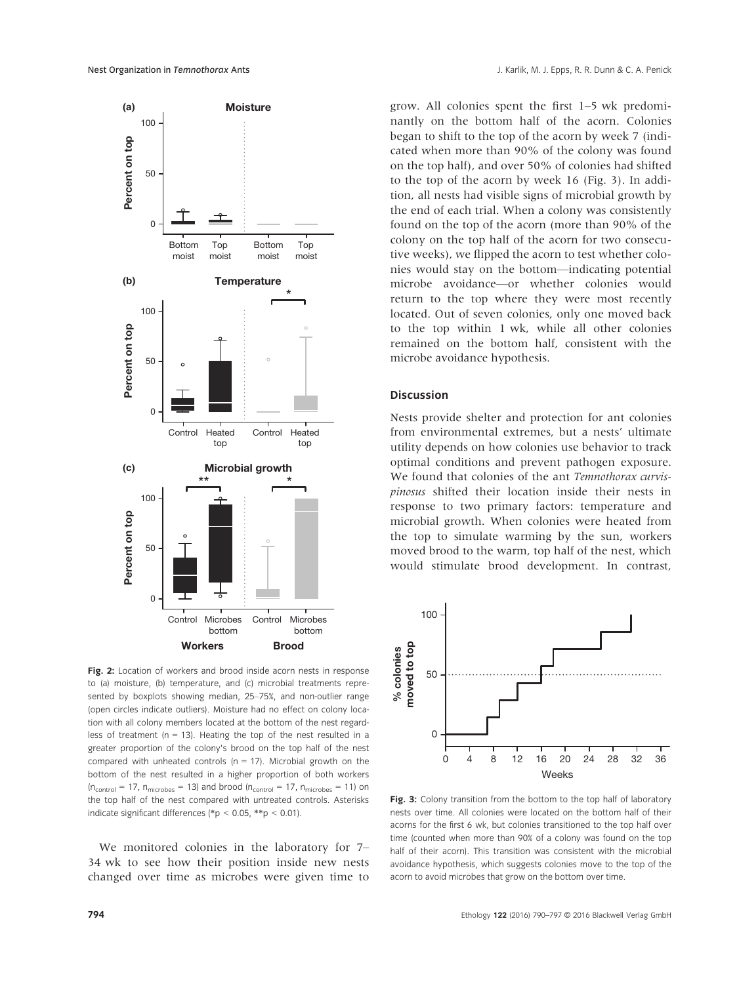

Fig. 2: Location of workers and brood inside acorn nests in response to (a) moisture, (b) temperature, and (c) microbial treatments represented by boxplots showing median, 25–75%, and non-outlier range (open circles indicate outliers). Moisture had no effect on colony location with all colony members located at the bottom of the nest regardless of treatment ( $n = 13$ ). Heating the top of the nest resulted in a greater proportion of the colony's brood on the top half of the nest compared with unheated controls ( $n = 17$ ). Microbial growth on the bottom of the nest resulted in a higher proportion of both workers  $(n_{control} = 17, n_{microbes} = 13)$  and brood  $(n_{control} = 17, n_{microbes} = 11)$  on the top half of the nest compared with untreated controls. Asterisks indicate significant differences (\*p < 0.05, \*\*p < 0.01).

We monitored colonies in the laboratory for 7– 34 wk to see how their position inside new nests changed over time as microbes were given time to grow. All colonies spent the first 1–5 wk predominantly on the bottom half of the acorn. Colonies began to shift to the top of the acorn by week 7 (indicated when more than 90% of the colony was found on the top half), and over 50% of colonies had shifted to the top of the acorn by week 16 (Fig. 3). In addition, all nests had visible signs of microbial growth by the end of each trial. When a colony was consistently found on the top of the acorn (more than 90% of the colony on the top half of the acorn for two consecutive weeks), we flipped the acorn to test whether colonies would stay on the bottom—indicating potential microbe avoidance—or whether colonies would return to the top where they were most recently located. Out of seven colonies, only one moved back to the top within 1 wk, while all other colonies remained on the bottom half, consistent with the microbe avoidance hypothesis.

#### **Discussion**

Nests provide shelter and protection for ant colonies from environmental extremes, but a nests' ultimate utility depends on how colonies use behavior to track optimal conditions and prevent pathogen exposure. We found that colonies of the ant Temnothorax curvispinosus shifted their location inside their nests in response to two primary factors: temperature and microbial growth. When colonies were heated from the top to simulate warming by the sun, workers moved brood to the warm, top half of the nest, which would stimulate brood development. In contrast,



Fig. 3: Colony transition from the bottom to the top half of laboratory nests over time. All colonies were located on the bottom half of their acorns for the first 6 wk, but colonies transitioned to the top half over time (counted when more than 90% of a colony was found on the top half of their acorn). This transition was consistent with the microbial avoidance hypothesis, which suggests colonies move to the top of the acorn to avoid microbes that grow on the bottom over time.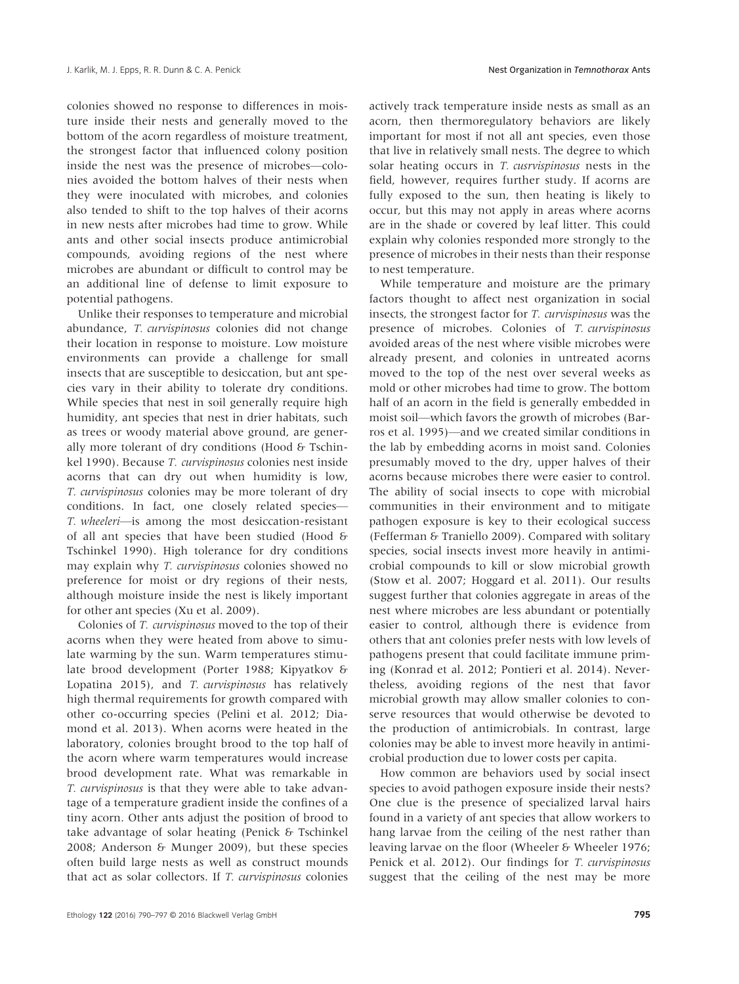colonies showed no response to differences in moisture inside their nests and generally moved to the bottom of the acorn regardless of moisture treatment, the strongest factor that influenced colony position inside the nest was the presence of microbes—colonies avoided the bottom halves of their nests when they were inoculated with microbes, and colonies also tended to shift to the top halves of their acorns in new nests after microbes had time to grow. While ants and other social insects produce antimicrobial compounds, avoiding regions of the nest where microbes are abundant or difficult to control may be an additional line of defense to limit exposure to potential pathogens.

Unlike their responses to temperature and microbial abundance, T. curvispinosus colonies did not change their location in response to moisture. Low moisture environments can provide a challenge for small insects that are susceptible to desiccation, but ant species vary in their ability to tolerate dry conditions. While species that nest in soil generally require high humidity, ant species that nest in drier habitats, such as trees or woody material above ground, are generally more tolerant of dry conditions (Hood & Tschinkel 1990). Because T. curvispinosus colonies nest inside acorns that can dry out when humidity is low, T. curvispinosus colonies may be more tolerant of dry conditions. In fact, one closely related species— T. wheeleri—is among the most desiccation-resistant of all ant species that have been studied (Hood & Tschinkel 1990). High tolerance for dry conditions may explain why T. curvispinosus colonies showed no preference for moist or dry regions of their nests, although moisture inside the nest is likely important for other ant species (Xu et al. 2009).

Colonies of T. curvispinosus moved to the top of their acorns when they were heated from above to simulate warming by the sun. Warm temperatures stimulate brood development (Porter 1988; Kipyatkov & Lopatina 2015), and T. curvispinosus has relatively high thermal requirements for growth compared with other co-occurring species (Pelini et al. 2012; Diamond et al. 2013). When acorns were heated in the laboratory, colonies brought brood to the top half of the acorn where warm temperatures would increase brood development rate. What was remarkable in T. curvispinosus is that they were able to take advantage of a temperature gradient inside the confines of a tiny acorn. Other ants adjust the position of brood to take advantage of solar heating (Penick & Tschinkel 2008; Anderson & Munger 2009), but these species often build large nests as well as construct mounds that act as solar collectors. If T. curvispinosus colonies

actively track temperature inside nests as small as an acorn, then thermoregulatory behaviors are likely important for most if not all ant species, even those that live in relatively small nests. The degree to which solar heating occurs in *T. cusrvispinosus* nests in the field, however, requires further study. If acorns are fully exposed to the sun, then heating is likely to occur, but this may not apply in areas where acorns are in the shade or covered by leaf litter. This could explain why colonies responded more strongly to the presence of microbes in their nests than their response to nest temperature.

While temperature and moisture are the primary factors thought to affect nest organization in social insects, the strongest factor for T. curvispinosus was the presence of microbes. Colonies of T. curvispinosus avoided areas of the nest where visible microbes were already present, and colonies in untreated acorns moved to the top of the nest over several weeks as mold or other microbes had time to grow. The bottom half of an acorn in the field is generally embedded in moist soil—which favors the growth of microbes (Barros et al. 1995)—and we created similar conditions in the lab by embedding acorns in moist sand. Colonies presumably moved to the dry, upper halves of their acorns because microbes there were easier to control. The ability of social insects to cope with microbial communities in their environment and to mitigate pathogen exposure is key to their ecological success (Fefferman & Traniello 2009). Compared with solitary species, social insects invest more heavily in antimicrobial compounds to kill or slow microbial growth (Stow et al. 2007; Hoggard et al. 2011). Our results suggest further that colonies aggregate in areas of the nest where microbes are less abundant or potentially easier to control, although there is evidence from others that ant colonies prefer nests with low levels of pathogens present that could facilitate immune priming (Konrad et al. 2012; Pontieri et al. 2014). Nevertheless, avoiding regions of the nest that favor microbial growth may allow smaller colonies to conserve resources that would otherwise be devoted to the production of antimicrobials. In contrast, large colonies may be able to invest more heavily in antimicrobial production due to lower costs per capita.

How common are behaviors used by social insect species to avoid pathogen exposure inside their nests? One clue is the presence of specialized larval hairs found in a variety of ant species that allow workers to hang larvae from the ceiling of the nest rather than leaving larvae on the floor (Wheeler & Wheeler 1976; Penick et al. 2012). Our findings for T. curvispinosus suggest that the ceiling of the nest may be more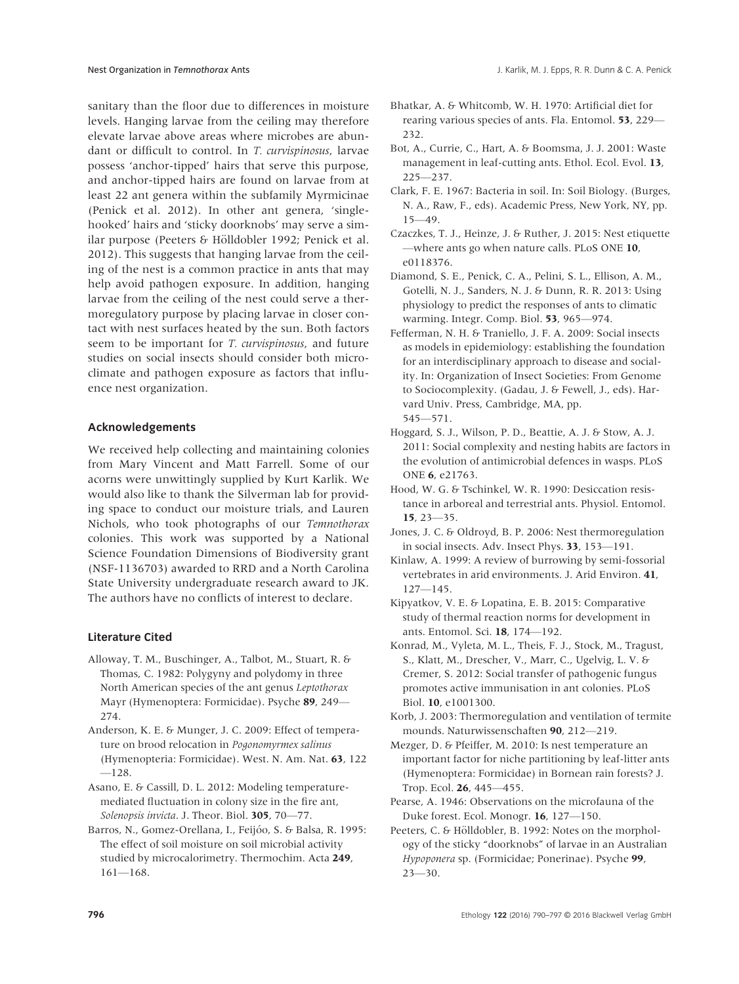sanitary than the floor due to differences in moisture levels. Hanging larvae from the ceiling may therefore elevate larvae above areas where microbes are abundant or difficult to control. In T. curvispinosus, larvae possess 'anchor-tipped' hairs that serve this purpose, and anchor-tipped hairs are found on larvae from at least 22 ant genera within the subfamily Myrmicinae (Penick et al. 2012). In other ant genera, 'singlehooked' hairs and 'sticky doorknobs' may serve a similar purpose (Peeters & Hölldobler 1992; Penick et al. 2012). This suggests that hanging larvae from the ceiling of the nest is a common practice in ants that may help avoid pathogen exposure. In addition, hanging larvae from the ceiling of the nest could serve a thermoregulatory purpose by placing larvae in closer contact with nest surfaces heated by the sun. Both factors seem to be important for *T. curvispinosus*, and future studies on social insects should consider both microclimate and pathogen exposure as factors that influence nest organization.

#### Acknowledgements

We received help collecting and maintaining colonies from Mary Vincent and Matt Farrell. Some of our acorns were unwittingly supplied by Kurt Karlik. We would also like to thank the Silverman lab for providing space to conduct our moisture trials, and Lauren Nichols, who took photographs of our Temnothorax colonies. This work was supported by a National Science Foundation Dimensions of Biodiversity grant (NSF-1136703) awarded to RRD and a North Carolina State University undergraduate research award to JK. The authors have no conflicts of interest to declare.

## Literature Cited

- Alloway, T. M., Buschinger, A., Talbot, M., Stuart, R. & Thomas, C. 1982: Polygyny and polydomy in three North American species of the ant genus Leptothorax Mayr (Hymenoptera: Formicidae). Psyche 89, 249— 274.
- Anderson, K. E. & Munger, J. C. 2009: Effect of temperature on brood relocation in Pogonomyrmex salinus (Hymenopteria: Formicidae). West. N. Am. Nat. 63, 122 —128.
- Asano, E. & Cassill, D. L. 2012: Modeling temperaturemediated fluctuation in colony size in the fire ant, Solenopsis invicta. J. Theor. Biol. 305, 70-77.
- Barros, N., Gomez-Orellana, I., Feijóo, S. & Balsa, R. 1995: The effect of soil moisture on soil microbial activity studied by microcalorimetry. Thermochim. Acta 249, 161—168.
- Bhatkar, A. & Whitcomb, W. H. 1970: Artificial diet for rearing various species of ants. Fla. Entomol. 53, 229— 232.
- Bot, A., Currie, C., Hart, A. & Boomsma, J. J. 2001: Waste management in leaf-cutting ants. Ethol. Ecol. Evol. 13, 225—237.
- Clark, F. E. 1967: Bacteria in soil. In: Soil Biology. (Burges, N. A., Raw, F., eds). Academic Press, New York, NY, pp. 15—49.
- Czaczkes, T. J., Heinze, J. & Ruther, J. 2015: Nest etiquette —where ants go when nature calls. PLoS ONE 10, e0118376.
- Diamond, S. E., Penick, C. A., Pelini, S. L., Ellison, A. M., Gotelli, N. J., Sanders, N. J. & Dunn, R. R. 2013: Using physiology to predict the responses of ants to climatic warming. Integr. Comp. Biol. 53, 965—974.
- Fefferman, N. H. & Traniello, J. F. A. 2009: Social insects as models in epidemiology: establishing the foundation for an interdisciplinary approach to disease and sociality. In: Organization of Insect Societies: From Genome to Sociocomplexity. (Gadau, J. & Fewell, J., eds). Harvard Univ. Press, Cambridge, MA, pp. 545—571.
- Hoggard, S. J., Wilson, P. D., Beattie, A. J. & Stow, A. J. 2011: Social complexity and nesting habits are factors in the evolution of antimicrobial defences in wasps. PLoS ONE 6, e21763.
- Hood, W. G. & Tschinkel, W. R. 1990: Desiccation resistance in arboreal and terrestrial ants. Physiol. Entomol. 15, 23—35.
- Jones, J. C. & Oldroyd, B. P. 2006: Nest thermoregulation in social insects. Adv. Insect Phys. 33, 153—191.
- Kinlaw, A. 1999: A review of burrowing by semi-fossorial vertebrates in arid environments. J. Arid Environ. 41, 127—145.
- Kipyatkov, V. E. & Lopatina, E. B. 2015: Comparative study of thermal reaction norms for development in ants. Entomol. Sci. 18, 174—192.
- Konrad, M., Vyleta, M. L., Theis, F. J., Stock, M., Tragust, S., Klatt, M., Drescher, V., Marr, C., Ugelvig, L. V. & Cremer, S. 2012: Social transfer of pathogenic fungus promotes active immunisation in ant colonies. PLoS Biol. 10, e1001300.
- Korb, J. 2003: Thermoregulation and ventilation of termite mounds. Naturwissenschaften 90, 212—219.
- Mezger, D. & Pfeiffer, M. 2010: Is nest temperature an important factor for niche partitioning by leaf-litter ants (Hymenoptera: Formicidae) in Bornean rain forests? J. Trop. Ecol. 26, 445—455.
- Pearse, A. 1946: Observations on the microfauna of the Duke forest. Ecol. Monogr. 16, 127—150.
- Peeters, C. & Hölldobler, B. 1992: Notes on the morphology of the sticky "doorknobs" of larvae in an Australian Hypoponera sp. (Formicidae; Ponerinae). Psyche 99, 23—30.